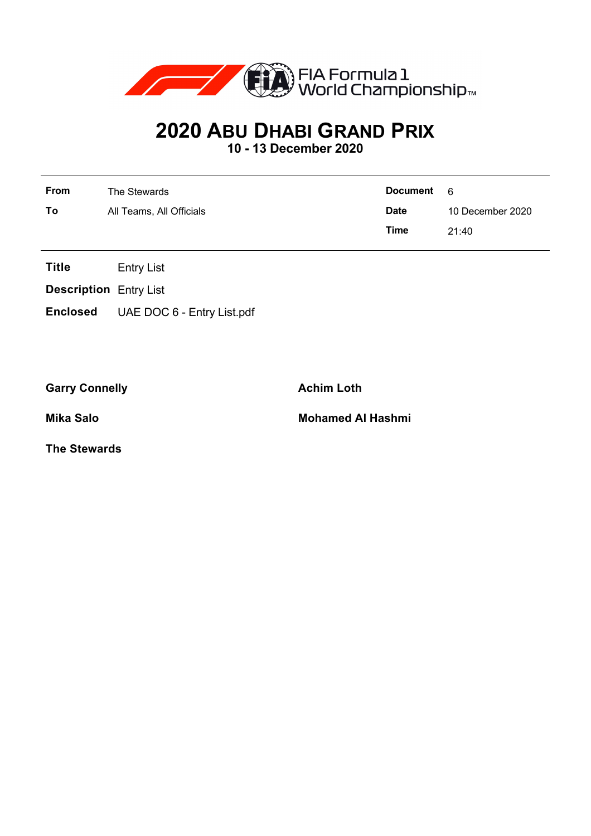

## **2020 ABU DHABI GRAND PRIX**

**10 - 13 December 2020**

| From | The Stewards             | <b>Document</b> | - 6              |
|------|--------------------------|-----------------|------------------|
| To   | All Teams, All Officials | <b>Date</b>     | 10 December 2020 |
|      |                          | Time            | 21:40            |

**Title** Entry List

**Description** Entry List

**Enclosed** UAE DOC 6 - Entry List.pdf

Garry Connelly **Achim Loth** 

**Mika Salo Mohamed Al Hashmi**

**The Stewards**